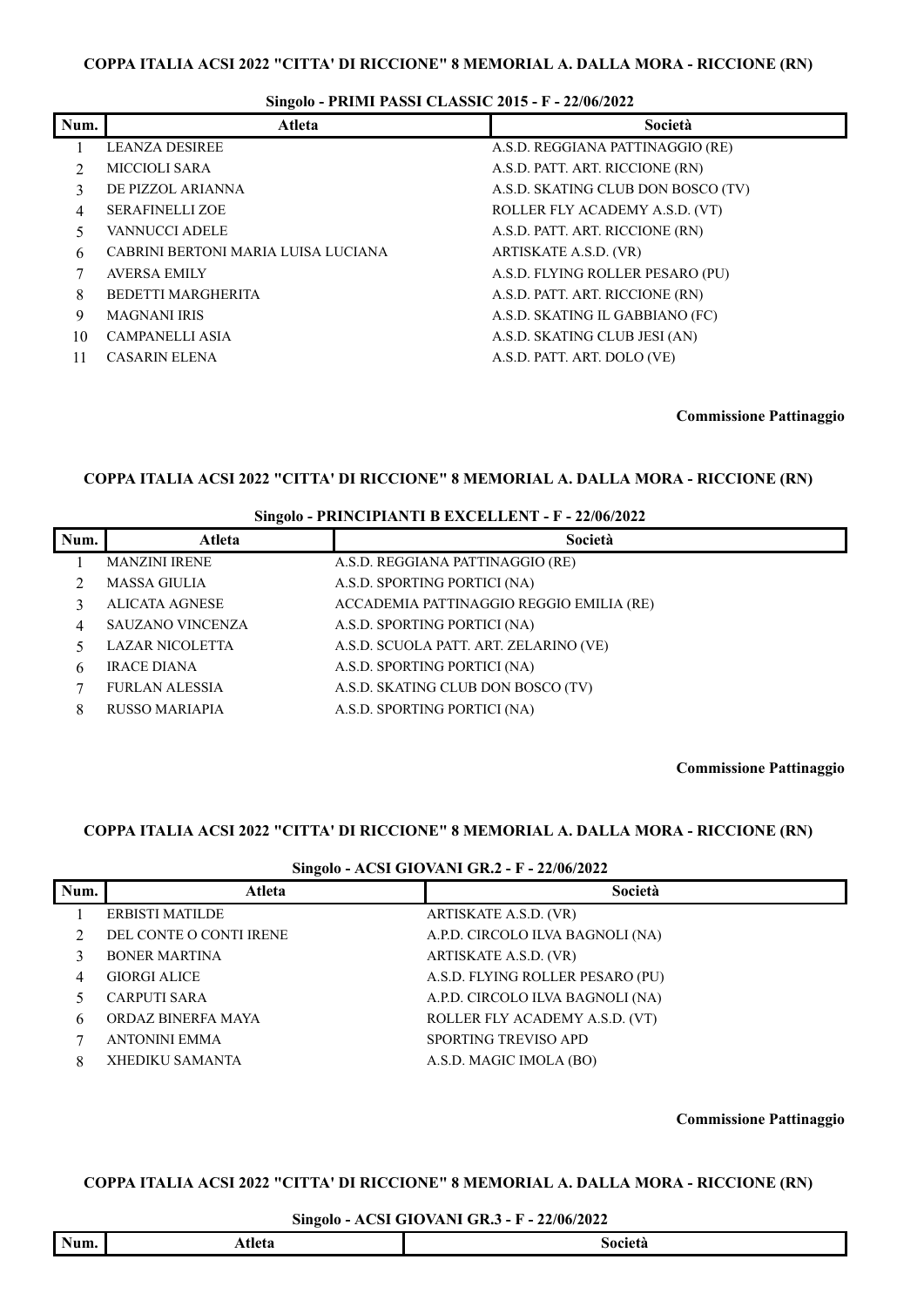# **Singolo - PRIMI PASSI CLASSIC 2015 - F - 22/06/2022**

| Num. | <b>Atleta</b>                       | Società                            |
|------|-------------------------------------|------------------------------------|
|      | <b>LEANZA DESIREE</b>               | A.S.D. REGGIANA PATTINAGGIO (RE)   |
|      | MICCIOLI SARA                       | A.S.D. PATT. ART. RICCIONE (RN)    |
| 3    | DE PIZZOL ARIANNA                   | A.S.D. SKATING CLUB DON BOSCO (TV) |
| 4    | <b>SERAFINELLI ZOE</b>              | ROLLER FLY ACADEMY A.S.D. (VT)     |
|      | <b>VANNUCCI ADELE</b>               | A.S.D. PATT. ART. RICCIONE (RN)    |
| 6    | CABRINI BERTONI MARIA LUISA LUCIANA | ARTISKATE A.S.D. (VR)              |
|      | <b>AVERSA EMILY</b>                 | A.S.D. FLYING ROLLER PESARO (PU)   |
| 8    | <b>BEDETTI MARGHERITA</b>           | A.S.D. PATT. ART. RICCIONE (RN)    |
| 9    | <b>MAGNANI IRIS</b>                 | A.S.D. SKATING IL GABBIANO (FC)    |
| 10   | <b>CAMPANELLI ASIA</b>              | A.S.D. SKATING CLUB JESI (AN)      |
| 11   | <b>CASARIN ELENA</b>                | A.S.D. PATT. ART. DOLO (VE)        |

**Commissione Pattinaggio**

### **COPPA ITALIA ACSI 2022 "CITTA' DI RICCIONE" 8 MEMORIAL A. DALLA MORA - RICCIONE (RN)**

### **Singolo - PRINCIPIANTI B EXCELLENT - F - 22/06/2022**

| Num. | Atleta                 | Società                                  |
|------|------------------------|------------------------------------------|
|      | <b>MANZINI IRENE</b>   | A.S.D. REGGIANA PATTINAGGIO (RE)         |
|      | <b>MASSA GIULIA</b>    | A.S.D. SPORTING PORTICI (NA)             |
|      | <b>ALICATA AGNESE</b>  | ACCADEMIA PATTINAGGIO REGGIO EMILIA (RE) |
| 4    | SAUZANO VINCENZA       | A.S.D. SPORTING PORTICI (NA)             |
|      | <b>LAZAR NICOLETTA</b> | A.S.D. SCUOLA PATT. ART. ZELARINO (VE)   |
| h.   | <b>IRACE DIANA</b>     | A.S.D. SPORTING PORTICI (NA)             |
|      | <b>FURLAN ALESSIA</b>  | A.S.D. SKATING CLUB DON BOSCO (TV)       |
| 8    | <b>RUSSO MARIAPIA</b>  | A.S.D. SPORTING PORTICI (NA)             |

**Commissione Pattinaggio**

## **COPPA ITALIA ACSI 2022 "CITTA' DI RICCIONE" 8 MEMORIAL A. DALLA MORA - RICCIONE (RN)**

#### **Singolo - ACSI GIOVANI GR.2 - F - 22/06/2022**

|      | o                       |                                  |
|------|-------------------------|----------------------------------|
| Num. | Atleta                  | Società                          |
|      | ERBISTI MATILDE         | ARTISKATE A.S.D. (VR)            |
|      | DEL CONTE O CONTI IRENE | A.P.D. CIRCOLO ILVA BAGNOLI (NA) |
|      | <b>BONER MARTINA</b>    | ARTISKATE A.S.D. (VR)            |
| 4    | <b>GIORGI ALICE</b>     | A.S.D. FLYING ROLLER PESARO (PU) |
|      | <b>CARPUTI SARA</b>     | A.P.D. CIRCOLO ILVA BAGNOLI (NA) |
| 6    | ORDAZ BINERFA MAYA      | ROLLER FLY ACADEMY A.S.D. (VT)   |
|      | <b>ANTONINI EMMA</b>    | SPORTING TREVISO APD             |
| 8    | <b>XHEDIKU SAMANTA</b>  | A.S.D. MAGIC IMOLA (BO)          |

**Commissione Pattinaggio**

# **COPPA ITALIA ACSI 2022 "CITTA' DI RICCIONE" 8 MEMORIAL A. DALLA MORA - RICCIONE (RN)**

#### **Singolo - ACSI GIOVANI GR.3 - F - 22/06/2022**

|  | Num. | ^+ | $\sim$ $\sim$ $\sim$ $\sim$ $\sim$<br>лета<br>יי |
|--|------|----|--------------------------------------------------|
|--|------|----|--------------------------------------------------|